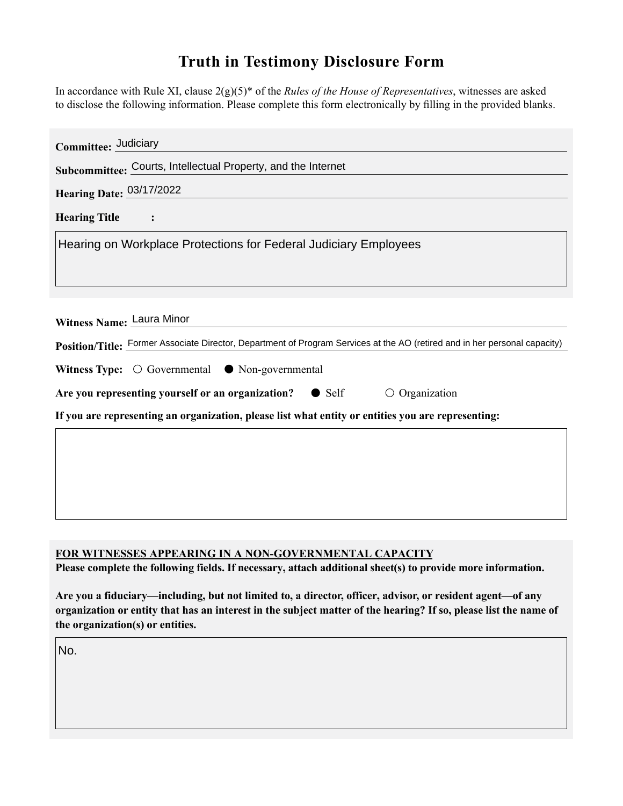## **Truth in Testimony Disclosure Form**

In accordance with Rule XI, clause 2(g)(5)\* of the *Rules of the House of Representatives*, witnesses are asked to disclose the following information. Please complete this form electronically by filling in the provided blanks.

| Committee: Judiciary                                                                                                                                    |
|---------------------------------------------------------------------------------------------------------------------------------------------------------|
| Subcommittee: Courts, Intellectual Property, and the Internet                                                                                           |
| Hearing Date: 03/17/2022                                                                                                                                |
| <b>Hearing Title</b>                                                                                                                                    |
| Hearing on Workplace Protections for Federal Judiciary Employees                                                                                        |
| Witness Name: Laura Minor<br>Position/Title: Former Associate Director, Department of Program Services at the AO (retired and in her personal capacity) |
| Witness Type: $\bigcirc$ Governmental $\bullet$ Non-governmental                                                                                        |
| Are you representing yourself or an organization? • Self<br>$\circ$ Organization                                                                        |
| If you are representing an organization, please list what entity or entities you are representing:                                                      |
|                                                                                                                                                         |
|                                                                                                                                                         |
|                                                                                                                                                         |
|                                                                                                                                                         |

## **FOR WITNESSES APPEARING IN A NON-GOVERNMENTAL CAPACITY**

**Please complete the following fields. If necessary, attach additional sheet(s) to provide more information.**

**Are you a fiduciary—including, but not limited to, a director, officer, advisor, or resident agent—of any organization or entity that has an interest in the subject matter of the hearing? If so, please list the name of the organization(s) or entities.**

No.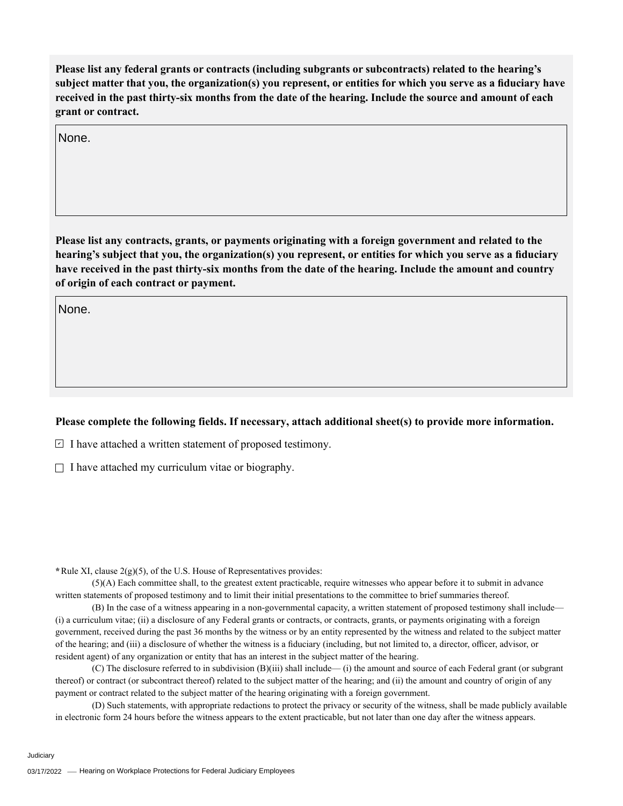**Please list any federal grants or contracts (including subgrants or subcontracts) related to the hearing's subject matter that you, the organization(s) you represent, or entities for which you serve as a fiduciary have received in the past thirty-six months from the date of the hearing. Include the source and amount of each grant or contract.** 

None.

**Please list any contracts, grants, or payments originating with a foreign government and related to the hearing's subject that you, the organization(s) you represent, or entities for which you serve as a fiduciary have received in the past thirty-six months from the date of the hearing. Include the amount and country of origin of each contract or payment.** 

None.

## **Please complete the following fields. If necessary, attach additional sheet(s) to provide more information.**

 $\exists$  I have attached a written statement of proposed testimony.

 $\Box$  I have attached my curriculum vitae or biography.

**\***Rule XI, clause 2(g)(5), of the U.S. House of Representatives provides:

(5)(A) Each committee shall, to the greatest extent practicable, require witnesses who appear before it to submit in advance written statements of proposed testimony and to limit their initial presentations to the committee to brief summaries thereof.

(B) In the case of a witness appearing in a non-governmental capacity, a written statement of proposed testimony shall include— (i) a curriculum vitae; (ii) a disclosure of any Federal grants or contracts, or contracts, grants, or payments originating with a foreign government, received during the past 36 months by the witness or by an entity represented by the witness and related to the subject matter of the hearing; and (iii) a disclosure of whether the witness is a fiduciary (including, but not limited to, a director, officer, advisor, or resident agent) of any organization or entity that has an interest in the subject matter of the hearing.

(C) The disclosure referred to in subdivision (B)(iii) shall include— (i) the amount and source of each Federal grant (or subgrant thereof) or contract (or subcontract thereof) related to the subject matter of the hearing; and (ii) the amount and country of origin of any payment or contract related to the subject matter of the hearing originating with a foreign government.

(D) Such statements, with appropriate redactions to protect the privacy or security of the witness, shall be made publicly available in electronic form 24 hours before the witness appears to the extent practicable, but not later than one day after the witness appears.

Judiciary